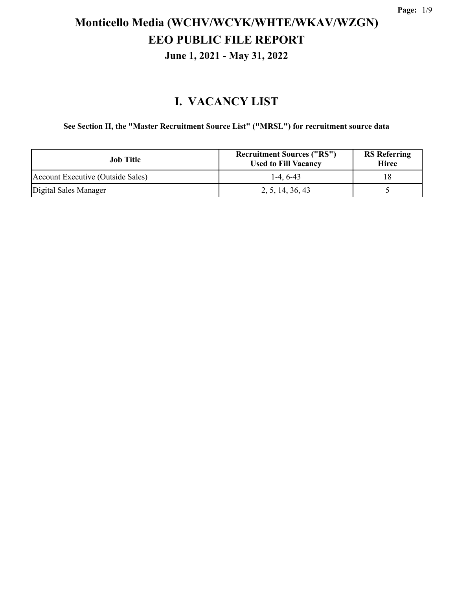### **I. VACANCY LIST**

**See Section II, the "Master Recruitment Source List" ("MRSL") for recruitment source data**

| Job Title                         | <b>Recruitment Sources ("RS")</b><br><b>Used to Fill Vacancy</b> | <b>RS</b> Referring<br><b>Hiree</b> |
|-----------------------------------|------------------------------------------------------------------|-------------------------------------|
| Account Executive (Outside Sales) | $1-4.6-43$                                                       | 18                                  |
| Digital Sales Manager             | 2, 5, 14, 36, 43                                                 |                                     |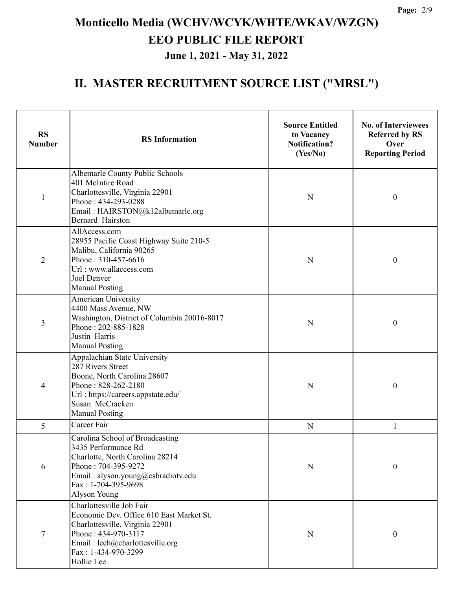| <b>RS</b><br><b>Number</b> | <b>RS</b> Information                                                                                                                                                                                  |           | <b>No. of Interviewees</b><br><b>Referred by RS</b><br>Over<br><b>Reporting Period</b> |  |
|----------------------------|--------------------------------------------------------------------------------------------------------------------------------------------------------------------------------------------------------|-----------|----------------------------------------------------------------------------------------|--|
| 1                          | Albemarle County Public Schools<br>401 McIntire Road<br>Charlottesville, Virginia 22901<br>Phone: 434-293-0288<br>Email: HAIRSTON@k12albemarle.org<br>Bernard Hairston                                 | N         | $\mathbf{0}$                                                                           |  |
| $\overline{2}$             | AllAccess.com<br>28955 Pacific Coast Highway Suite 210-5<br>Malibu, California 90265<br>Phone: 310-457-6616<br>Url: www.allaccess.com<br>Joel Denver<br><b>Manual Posting</b>                          |           | $\mathbf{0}$                                                                           |  |
| 3                          | American University<br>4400 Mass Avenue, NW<br>Washington, District of Columbia 20016-8017<br>Phone: 202-885-1828<br>Justin Harris<br><b>Manual Posting</b>                                            | N         | $\mathbf{0}$                                                                           |  |
| 4                          | Appalachian State University<br>287 Rivers Street<br>Boone, North Carolina 28607<br>Phone: 828-262-2180<br>Url: https://careers.appstate.edu/<br>Susan McCracken<br><b>Manual Posting</b>              | N         | $\boldsymbol{0}$                                                                       |  |
| 5                          | Career Fair                                                                                                                                                                                            | ${\bf N}$ | 1                                                                                      |  |
| 6                          | Carolina School of Broadcasting<br>3435 Performance Rd<br>Charlotte, North Carolina 28214<br>Phone: 704-395-9272<br>Email: alyson.young@csbradiotv.edu<br>Fax: 1-704-395-9698<br>Alyson Young          | ${\bf N}$ | $\boldsymbol{0}$                                                                       |  |
| $\tau$                     | Charlottesville Job Fair<br>Economic Dev. Office 610 East Market St.<br>Charlottesville, Virginia 22901<br>Phone: 434-970-3117<br>Email: leeh@charlottesville.org<br>Fax: 1-434-970-3299<br>Hollie Lee | ${\bf N}$ | $\boldsymbol{0}$                                                                       |  |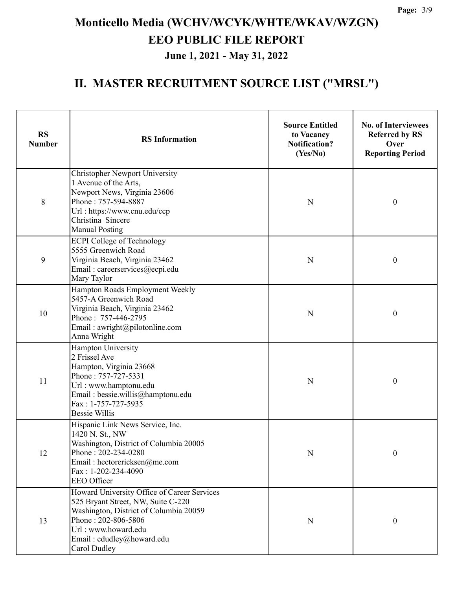| <b>RS</b><br><b>Number</b>                                                                                                                                                                               | <b>RS</b> Information                                                                                                                                                                                                  |             | <b>No. of Interviewees</b><br><b>Referred by RS</b><br>Over<br><b>Reporting Period</b> |
|----------------------------------------------------------------------------------------------------------------------------------------------------------------------------------------------------------|------------------------------------------------------------------------------------------------------------------------------------------------------------------------------------------------------------------------|-------------|----------------------------------------------------------------------------------------|
| 8                                                                                                                                                                                                        | <b>Christopher Newport University</b><br>1 Avenue of the Arts,<br>Newport News, Virginia 23606<br>Phone: 757-594-8887<br>Url: https://www.cnu.edu/ccp<br>Christina Sincere<br><b>Manual Posting</b>                    |             | $\boldsymbol{0}$                                                                       |
| 9                                                                                                                                                                                                        | <b>ECPI College of Technology</b><br>5555 Greenwich Road<br>Virginia Beach, Virginia 23462<br>Email: careerservices@ecpi.edu<br>Mary Taylor                                                                            | N           | $\boldsymbol{0}$                                                                       |
| 10                                                                                                                                                                                                       | Hampton Roads Employment Weekly<br>5457-A Greenwich Road<br>Virginia Beach, Virginia 23462<br>Phone: 757-446-2795<br>Email: awright@pilotonline.com<br>Anna Wright                                                     | N           | $\boldsymbol{0}$                                                                       |
| Hampton University<br>2 Frissel Ave<br>Hampton, Virginia 23668<br>Phone: 757-727-5331<br>11<br>Url: www.hamptonu.edu<br>Email: bessie.willis@hamptonu.edu<br>Fax: 1-757-727-5935<br><b>Bessie Willis</b> |                                                                                                                                                                                                                        | N           | $\boldsymbol{0}$                                                                       |
| 12                                                                                                                                                                                                       | Hispanic Link News Service, Inc.<br>1420 N. St., NW<br>Washington, District of Columbia 20005<br>Phone: 202-234-0280<br>Email: hectorericksen@me.com<br>Fax: 1-202-234-4090<br>EEO Officer                             | $\mathbf N$ | $\boldsymbol{0}$                                                                       |
| 13                                                                                                                                                                                                       | Howard University Office of Career Services<br>525 Bryant Street, NW, Suite C-220<br>Washington, District of Columbia 20059<br>Phone: 202-806-5806<br>Url: www.howard.edu<br>Email: cdudley@howard.edu<br>Carol Dudley | $\mathbf N$ | $\boldsymbol{0}$                                                                       |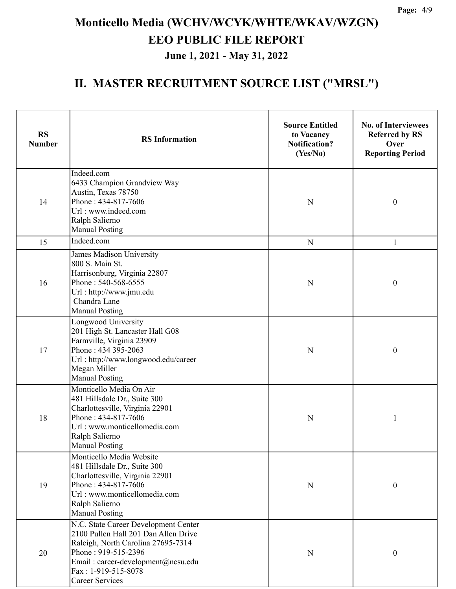| <b>RS</b><br><b>Number</b> | <b>RS</b> Information                                                                                                                                                                                                            |             | <b>No. of Interviewees</b><br><b>Referred by RS</b><br>Over<br><b>Reporting Period</b> |
|----------------------------|----------------------------------------------------------------------------------------------------------------------------------------------------------------------------------------------------------------------------------|-------------|----------------------------------------------------------------------------------------|
| 14                         | Indeed.com<br>6433 Champion Grandview Way<br>Austin, Texas 78750<br>Phone: 434-817-7606<br>Url: www.indeed.com<br>Ralph Salierno<br><b>Manual Posting</b>                                                                        | $\mathbf N$ | $\boldsymbol{0}$                                                                       |
| 15                         | Indeed.com                                                                                                                                                                                                                       | ${\bf N}$   | $\mathbf{1}$                                                                           |
| 16                         | James Madison University<br>800 S. Main St.<br>Harrisonburg, Virginia 22807<br>Phone: 540-568-6555<br>Url: http://www.jmu.edu<br>Chandra Lane<br><b>Manual Posting</b>                                                           | N           | $\boldsymbol{0}$                                                                       |
| 17                         | Longwood University<br>201 High St. Lancaster Hall G08<br>Farmville, Virginia 23909<br>Phone: 434 395-2063<br>Url: http://www.longwood.edu/career<br>Megan Miller<br><b>Manual Posting</b>                                       | N           | $\boldsymbol{0}$                                                                       |
| 18                         | Monticello Media On Air<br>481 Hillsdale Dr., Suite 300<br>Charlottesville, Virginia 22901<br>Phone: 434-817-7606<br>Url: www.monticellomedia.com<br>Ralph Salierno<br><b>Manual Posting</b>                                     | N           | 1                                                                                      |
| 19                         | Monticello Media Website<br>481 Hillsdale Dr., Suite 300<br>Charlottesville, Virginia 22901<br>Phone: 434-817-7606<br>Url: www.monticellomedia.com<br>Ralph Salierno<br><b>Manual Posting</b>                                    | ${\bf N}$   | $\boldsymbol{0}$                                                                       |
| 20                         | N.C. State Career Development Center<br>2100 Pullen Hall 201 Dan Allen Drive<br>Raleigh, North Carolina 27695-7314<br>Phone: 919-515-2396<br>Email: career-development@ncsu.edu<br>Fax: 1-919-515-8078<br><b>Career Services</b> | N           | $\boldsymbol{0}$                                                                       |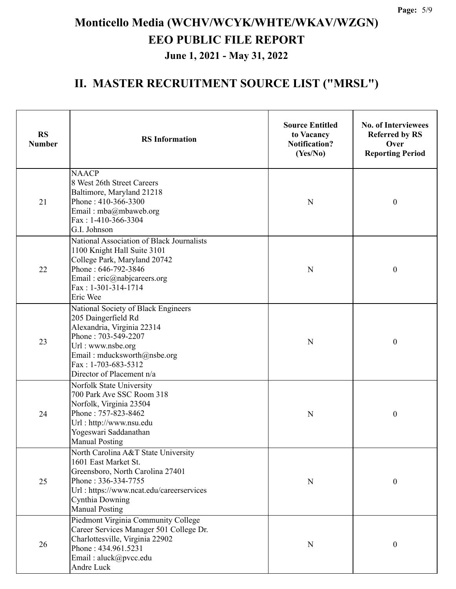| <b>RS</b><br><b>Number</b> | <b>RS</b> Information                                                                                                                                                                                                   | <b>Source Entitled</b><br>to Vacancy<br><b>Notification?</b><br>(Yes/No) | <b>No. of Interviewees</b><br><b>Referred by RS</b><br>Over<br><b>Reporting Period</b> |
|----------------------------|-------------------------------------------------------------------------------------------------------------------------------------------------------------------------------------------------------------------------|--------------------------------------------------------------------------|----------------------------------------------------------------------------------------|
| 21                         | <b>NAACP</b><br>8 West 26th Street Careers<br>Baltimore, Maryland 21218<br>Phone: 410-366-3300<br>Email: mba@mbaweb.org<br>Fax: 1-410-366-3304<br>G.I. Johnson                                                          | N                                                                        | $\boldsymbol{0}$                                                                       |
| 22                         | National Association of Black Journalists<br>1100 Knight Hall Suite 3101<br>College Park, Maryland 20742<br>Phone: 646-792-3846<br>Email: eric@nabjcareers.org<br>Fax: 1-301-314-1714<br>Eric Wee                       | N                                                                        | $\boldsymbol{0}$                                                                       |
| 23                         | National Society of Black Engineers<br>205 Daingerfield Rd<br>Alexandria, Virginia 22314<br>Phone: 703-549-2207<br>Url: www.nsbe.org<br>Email: mducksworth@nsbe.org<br>Fax: 1-703-683-5312<br>Director of Placement n/a | ${\bf N}$                                                                | $\boldsymbol{0}$                                                                       |
| 24                         | Norfolk State University<br>700 Park Ave SSC Room 318<br>Norfolk, Virginia 23504<br>Phone: 757-823-8462<br>Url: http://www.nsu.edu<br>Yogeswari Saddanathan<br><b>Manual Posting</b>                                    | N                                                                        | $\boldsymbol{0}$                                                                       |
| 25                         | North Carolina A&T State University<br>1601 East Market St.<br>Greensboro, North Carolina 27401<br>Phone: 336-334-7755<br>Url: https://www.ncat.edu/careerservices<br>Cynthia Downing<br><b>Manual Posting</b>          | N                                                                        | $\boldsymbol{0}$                                                                       |
| 26                         | Piedmont Virginia Community College<br>Career Services Manager 501 College Dr.<br>Charlottesville, Virginia 22902<br>Phone: 434.961.5231<br>Email: aluck@pvcc.edu<br>Andre Luck                                         | N                                                                        | 0                                                                                      |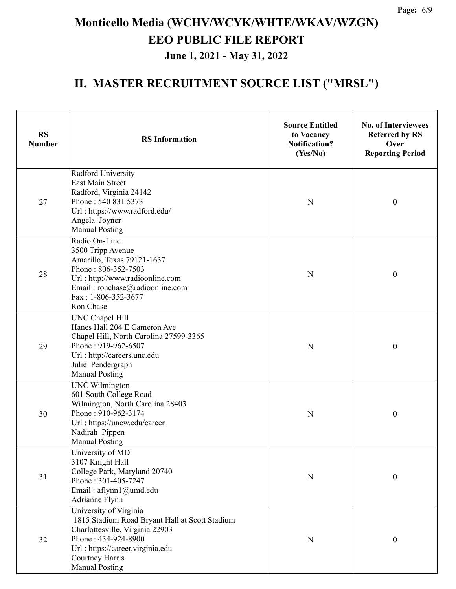| <b>RS</b><br><b>Number</b> | <b>RS</b> Information                                                                                                                                                                                               |   | <b>No. of Interviewees</b><br><b>Referred by RS</b><br>Over<br><b>Reporting Period</b> |  |
|----------------------------|---------------------------------------------------------------------------------------------------------------------------------------------------------------------------------------------------------------------|---|----------------------------------------------------------------------------------------|--|
| 27                         | Radford University<br><b>East Main Street</b><br>Radford, Virginia 24142<br>Phone: 540 831 5373<br>Url: https://www.radford.edu/<br>Angela Joyner<br><b>Manual Posting</b>                                          |   | $\boldsymbol{0}$                                                                       |  |
| 28                         | Radio On-Line<br>3500 Tripp Avenue<br>Amarillo, Texas 79121-1637<br>Phone: 806-352-7503<br>Url: http://www.radioonline.com<br>Email: ronchase@radioonline.com<br>Fax: 1-806-352-3677<br>Ron Chase                   | N | $\boldsymbol{0}$                                                                       |  |
| 29                         | UNC Chapel Hill<br>Hanes Hall 204 E Cameron Ave<br>Chapel Hill, North Carolina 27599-3365<br>Phone: 919-962-6507<br>Url : http://careers.unc.edu<br>Julie Pendergraph<br><b>Manual Posting</b>                      | N | $\boldsymbol{0}$                                                                       |  |
| 30                         | <b>UNC Wilmington</b><br>601 South College Road<br>Wilmington, North Carolina 28403<br>Phone: 910-962-3174<br>Url: https://uncw.edu/career<br>Nadirah Pippen<br><b>Manual Posting</b>                               | N | $\boldsymbol{0}$                                                                       |  |
| 31                         | University of MD<br>3107 Knight Hall<br>College Park, Maryland 20740<br>Phone: 301-405-7247<br>Email: aflynn1@umd.edu<br>Adrianne Flynn                                                                             | N | $\boldsymbol{0}$                                                                       |  |
| 32                         | University of Virginia<br>1815 Stadium Road Bryant Hall at Scott Stadium<br>Charlottesville, Virginia 22903<br>Phone: 434-924-8900<br>Url : https://career.virginia.edu<br>Courtney Harris<br><b>Manual Posting</b> | N | $\boldsymbol{0}$                                                                       |  |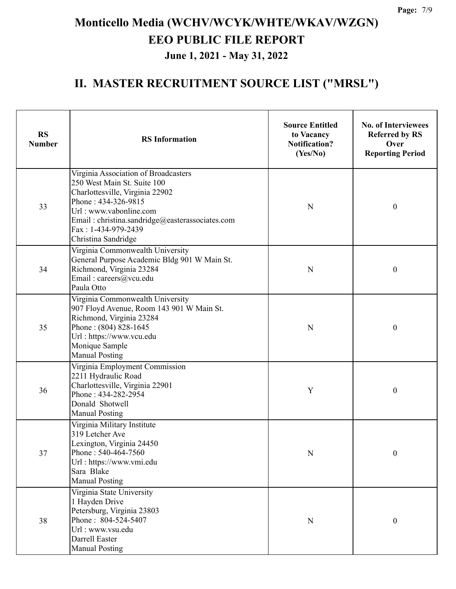| <b>RS</b><br><b>Number</b> | <b>RS</b> Information                                                                                                                                                                                                                                    |             | <b>No. of Interviewees</b><br><b>Referred by RS</b><br>Over<br><b>Reporting Period</b> |
|----------------------------|----------------------------------------------------------------------------------------------------------------------------------------------------------------------------------------------------------------------------------------------------------|-------------|----------------------------------------------------------------------------------------|
| 33                         | Virginia Association of Broadcasters<br>250 West Main St. Suite 100<br>Charlottesville, Virginia 22902<br>Phone: 434-326-9815<br>Url: www.vabonline.com<br>Email: christina.sandridge@easterassociates.com<br>Fax: 1-434-979-2439<br>Christina Sandridge | N           | $\boldsymbol{0}$                                                                       |
| 34                         | Virginia Commonwealth University<br>General Purpose Academic Bldg 901 W Main St.<br>Richmond, Virginia 23284<br>Email: careers@vcu.edu<br>Paula Otto                                                                                                     |             | $\boldsymbol{0}$                                                                       |
| 35                         | Virginia Commonwealth University<br>907 Floyd Avenue, Room 143 901 W Main St.<br>Richmond, Virginia 23284<br>Phone: (804) 828-1645<br>Url: https://www.vcu.edu<br>Monique Sample<br><b>Manual Posting</b>                                                | N           | $\boldsymbol{0}$                                                                       |
| 36                         | Virginia Employment Commission<br>2211 Hydraulic Road<br>Charlottesville, Virginia 22901<br>Phone: 434-282-2954<br>Donald Shotwell<br><b>Manual Posting</b>                                                                                              | Y           | $\boldsymbol{0}$                                                                       |
| 37                         | Virginia Military Institute<br>319 Letcher Ave<br>Lexington, Virginia 24450<br>Phone: 540-464-7560<br>Url: https://www.vmi.edu<br>Sara Blake<br><b>Manual Posting</b>                                                                                    | $\mathbf N$ | $\boldsymbol{0}$                                                                       |
| 38                         | Virginia State University<br>1 Hayden Drive<br>Petersburg, Virginia 23803<br>Phone: 804-524-5407<br>Url: www.vsu.edu<br>Darrell Easter<br><b>Manual Posting</b>                                                                                          | $\mathbf N$ | $\boldsymbol{0}$                                                                       |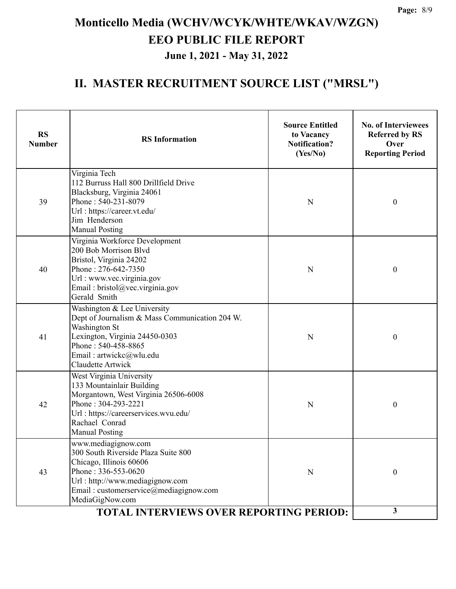| Virginia Tech<br>112 Burruss Hall 800 Drillfield Drive<br>Blacksburg, Virginia 24061<br>Phone: 540-231-8079<br>39<br>$\boldsymbol{0}$<br>N<br>Url: https://career.vt.edu/<br>Jim Henderson<br><b>Manual Posting</b><br>Virginia Workforce Development<br>200 Bob Morrison Blvd<br>Bristol, Virginia 24202<br>Phone: 276-642-7350<br>$\boldsymbol{0}$<br>40<br>${\bf N}$<br>Url: www.vec.virginia.gov<br>Email: bristol@vec.virginia.gov<br>Gerald Smith<br>Washington & Lee University<br>Dept of Journalism & Mass Communication 204 W.<br>Washington St<br>Lexington, Virginia 24450-0303<br>41<br>N<br>$\boldsymbol{0}$<br>Phone: 540-458-8865<br>Email: artwickc@wlu.edu<br>Claudette Artwick<br>West Virginia University<br>133 Mountainlair Building<br>Morgantown, West Virginia 26506-6008<br>Phone: 304-293-2221<br>42<br>$\boldsymbol{0}$<br>N<br>Url: https://careerservices.wvu.edu/<br>Rachael Conrad<br><b>Manual Posting</b><br>www.mediagignow.com<br>300 South Riverside Plaza Suite 800<br>Chicago, Illinois 60606<br>Phone: 336-553-0620<br>43<br>$\boldsymbol{0}$<br>N<br>Url: http://www.mediagignow.com<br>Email: customerservice@mediagignow.com | <b>RS</b><br><b>RS</b> Information<br><b>Number</b> |                 | <b>Source Entitled</b><br>to Vacancy<br><b>Notification?</b><br>(Yes/No) | <b>No. of Interviewees</b><br><b>Referred by RS</b><br>Over<br><b>Reporting Period</b> |
|-------------------------------------------------------------------------------------------------------------------------------------------------------------------------------------------------------------------------------------------------------------------------------------------------------------------------------------------------------------------------------------------------------------------------------------------------------------------------------------------------------------------------------------------------------------------------------------------------------------------------------------------------------------------------------------------------------------------------------------------------------------------------------------------------------------------------------------------------------------------------------------------------------------------------------------------------------------------------------------------------------------------------------------------------------------------------------------------------------------------------------------------------------------------------|-----------------------------------------------------|-----------------|--------------------------------------------------------------------------|----------------------------------------------------------------------------------------|
|                                                                                                                                                                                                                                                                                                                                                                                                                                                                                                                                                                                                                                                                                                                                                                                                                                                                                                                                                                                                                                                                                                                                                                         |                                                     |                 |                                                                          |                                                                                        |
|                                                                                                                                                                                                                                                                                                                                                                                                                                                                                                                                                                                                                                                                                                                                                                                                                                                                                                                                                                                                                                                                                                                                                                         |                                                     |                 |                                                                          |                                                                                        |
|                                                                                                                                                                                                                                                                                                                                                                                                                                                                                                                                                                                                                                                                                                                                                                                                                                                                                                                                                                                                                                                                                                                                                                         |                                                     |                 |                                                                          |                                                                                        |
|                                                                                                                                                                                                                                                                                                                                                                                                                                                                                                                                                                                                                                                                                                                                                                                                                                                                                                                                                                                                                                                                                                                                                                         |                                                     |                 |                                                                          |                                                                                        |
| 3<br><b>TOTAL INTERVIEWS OVER REPORTING PERIOD:</b>                                                                                                                                                                                                                                                                                                                                                                                                                                                                                                                                                                                                                                                                                                                                                                                                                                                                                                                                                                                                                                                                                                                     |                                                     | MediaGigNow.com |                                                                          |                                                                                        |